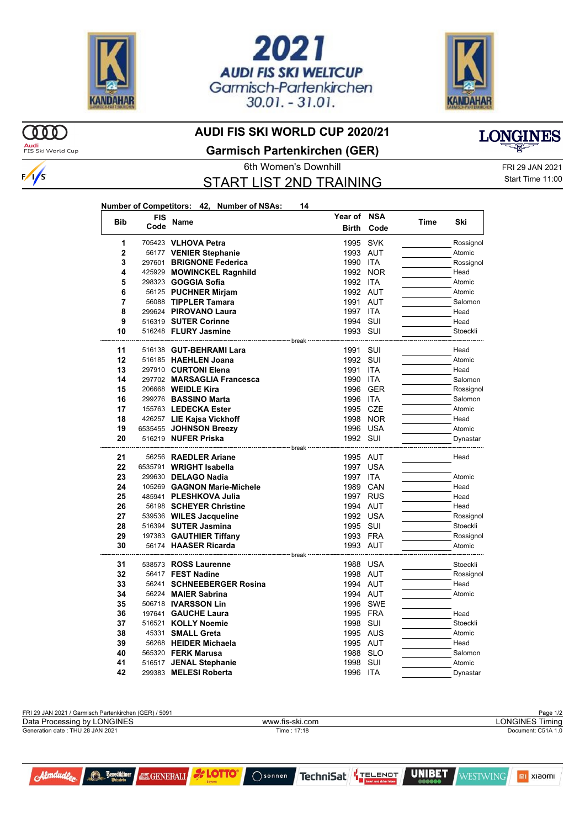





## **AUDI FIS SKI WORLD CUP 2020/21**

**Audi**<br>FIS Ski World Cup

 $\infty$ 



**Garmisch Partenkirchen (GER)**

START LIST 2ND TRAINING

**Number of Competitors: 42, Number of NSAs: 14**

6th Women's Downhill FRI 29 JAN 2021 Start Time 11:00

| <b>Bib</b> | <b>FIS</b><br>Code | Name                                         | Year of NSA       |                   | Time | Ski                  |
|------------|--------------------|----------------------------------------------|-------------------|-------------------|------|----------------------|
|            |                    |                                              | <b>Birth</b>      | Code              |      |                      |
| 1          |                    | 705423 VLHOVA Petra                          | 1995              | <b>SVK</b>        |      | Rossignol            |
| 2          |                    | 56177 VENIER Stephanie                       |                   | 1993 AUT          |      | Atomic               |
| 3          |                    | 297601 BRIGNONE Federica                     | 1990              | ITA               |      | Rossignol            |
| 4          |                    | 425929 MOWINCKEL Ragnhild                    |                   | 1992 NOR          |      | Head                 |
| 5          |                    | 298323 <b>GOGGIA Sofia</b>                   | 1992 ITA          |                   |      | Atomic               |
| 6          |                    | 56125 PUCHNER Mirjam                         | 1992 AUT          |                   |      | Atomic               |
| 7          |                    | 56088 TIPPLER Tamara                         | 1991 AUT          |                   |      | Salomon              |
| 8          |                    | 299624 PIROVANO Laura                        | 1997              | <b>ITA</b>        |      | Head                 |
| 9          |                    | 516319 SUTER Corinne                         | 1994 SUI          |                   |      | Head                 |
| 10         |                    | 516248 FLURY Jasmine                         | 1993 SUI          |                   |      | Stoeckli             |
|            |                    |                                              | <sup></sup> break |                   |      |                      |
| 11<br>12   |                    | 516138 GUT-BEHRAMI Lara                      | 1991              | SUI               |      | Head                 |
| 13         |                    | 516185 HAEHLEN Joana<br>297910 CURTONI Elena | 1992 SUI<br>1991  |                   |      | Atomic<br>Head       |
| 14         |                    | 297702 MARSAGLIA Francesca                   | 1990              | <b>ITA</b><br>ITA |      | Salomon              |
| 15         |                    | 206668 <b>WEIDLE Kira</b>                    | 1996              | GER               |      |                      |
| 16         |                    | 299276 BASSINO Marta                         | 1996              | ITA               |      | Rossignol<br>Salomon |
| 17         |                    | 155763 LEDECKA Ester                         | 1995              | CZE               |      | Atomic               |
| 18         |                    | 426257 LIE Kajsa Vickhoff                    |                   | 1998 NOR          |      | Head                 |
| 19         |                    | 6535455 JOHNSON Breezy                       |                   | 1996 USA          |      | Atomic               |
| 20         |                    | 516219 NUFER Priska                          | 1992 SUI          |                   |      | Dynastar             |
|            |                    | -------------------- break ·                 |                   |                   |      |                      |
| 21         |                    | 56256 RAEDLER Ariane                         | 1995 AUT          |                   |      | Head                 |
| 22         |                    | 6535791 WRIGHT Isabella                      | 1997              | <b>USA</b>        |      |                      |
| 23         |                    | 299630 DELAGO Nadia                          | 1997 ITA          |                   |      | Atomic               |
| 24         |                    | 105269 GAGNON Marie-Michele                  |                   | 1989 CAN          |      | Head                 |
| 25         |                    | 485941 PLESHKOVA Julia                       |                   | 1997 RUS          |      | Head                 |
| 26         |                    | 56198 SCHEYER Christine                      | 1994 AUT          |                   |      | Head                 |
| 27         |                    | 539536 WILES Jacqueline                      |                   | 1992 USA          |      | Rossignol            |
| 28         |                    | 516394 SUTER Jasmina                         | 1995 SUI          |                   |      | Stoeckli             |
| 29         |                    | 197383 GAUTHIER Tiffany                      | 1993 FRA          |                   |      | Rossignol            |
| 30         |                    | 56174 HAASER Ricarda                         | 1993 AUT          |                   |      | Atomic               |
|            |                    | ---------------------- break ·               |                   |                   |      |                      |
| 31         |                    | 538573 ROSS Laurenne                         |                   | 1988 USA          |      | Stoeckli             |
| 32         |                    | 56417 FEST Nadine                            | 1998 AUT          |                   |      | Rossignol            |
| 33         |                    | 56241 SCHNEEBERGER Rosina                    | 1994 AUT          |                   |      | Head                 |
| 34         |                    | 56224 MAIER Sabrina                          |                   | 1994 AUT          |      | Atomic               |
| 35         |                    | 506718 <b>IVARSSON Lin</b>                   |                   | 1996 SWE          |      |                      |
| 36         |                    | 197641 GAUCHE Laura                          | 1995 FRA          |                   |      | Head                 |
| 37         |                    | 516521 KOLLY Noemie                          | 1998              | SUI               |      | Stoeckli             |
| 38         |                    | 45331 SMALL Greta                            |                   | 1995 AUS          |      | Atomic               |
| 39         |                    | 56268 HEIDER Michaela                        | 1995 AUT          |                   |      | Head                 |
| 40         |                    | 565320 <b>FERK Marusa</b>                    | 1988              | <b>SLO</b>        |      | Salomon              |
| 41         |                    | 516517 JENAL Stephanie                       | 1998              | SUI               |      | Atomic               |
| 42         |                    | 299383 MELESI Roberta                        | 1996 ITA          |                   |      | Dynastar             |

| FRI 29 JAN 2021 / Garmisch Partenkirchen (GER) / 5091 |                 | Page 1/2           |
|-------------------------------------------------------|-----------------|--------------------|
| Data Processing by LONGINES                           | www.fis-ski.com | LONGINES Timina    |
| Generation date : THU 28 JAN 2021                     | Time: 17:18     | Document: C51A 1.0 |
|                                                       |                 |                    |



**Benediktiner** 

**EXGENERALI & LOTTO** 

TechniSat TELENOT  $\bigcap$  sonnen



mi xiaomi